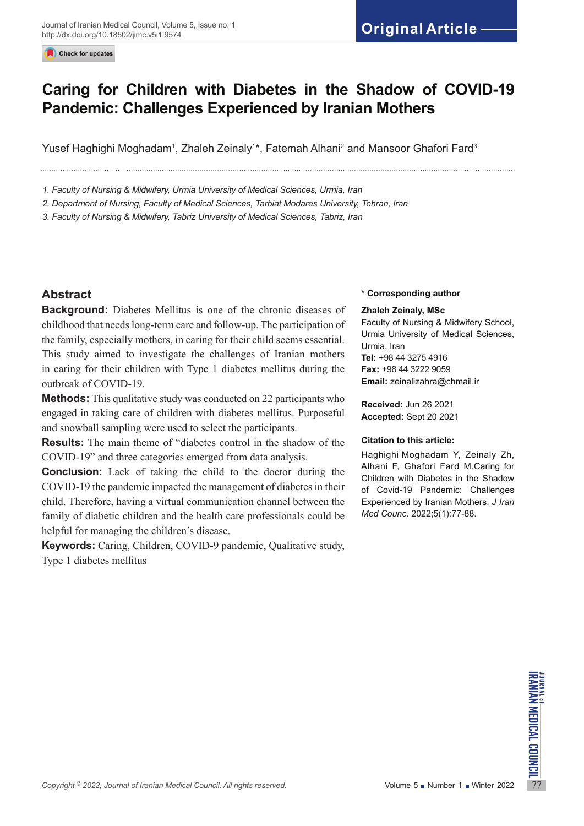Check for updates

# **Caring for Children with Diabetes in the Shadow of COVID-19 Pandemic: Challenges Experienced by Iranian Mothers**

Yusef Haghighi Moghadam<sup>1</sup>, Zhaleh Zeinaly<sup>1</sup>\*, Fatemah Alhani<sup>2</sup> and Mansoor Ghafori Fard<sup>3</sup>

*1. Faculty of Nursing & Midwifery, Urmia University of Medical Sciences, Urmia, Iran*

*2. Department of Nursing, Faculty of Medical Sciences, Tarbiat Modares University, Tehran, Iran*

*3. Faculty of Nursing & Midwifery, Tabriz University of Medical Sciences, Tabriz, Iran*

# **Abstract**

**Background:** Diabetes Mellitus is one of the chronic diseases of childhood that needs long-term care and follow-up. The participation of the family, especially mothers, in caring for their child seems essential. This study aimed to investigate the challenges of Iranian mothers in caring for their children with Type 1 diabetes mellitus during the outbreak of COVID-19.

**Methods:** This qualitative study was conducted on 22 participants who engaged in taking care of children with diabetes mellitus. Purposeful and snowball sampling were used to select the participants.

**Results:** The main theme of "diabetes control in the shadow of the COVID-19" and three categories emerged from data analysis.

**Conclusion:** Lack of taking the child to the doctor during the COVID-19 the pandemic impacted the management of diabetes in their child. Therefore, having a virtual communication channel between the family of diabetic children and the health care professionals could be helpful for managing the children's disease.

**Keywords:** Caring, Children, COVID-9 pandemic, Qualitative study, Type 1 diabetes mellitus

#### **\* Corresponding author**

#### **Zhaleh Zeinaly, MSc**

Faculty of Nursing & Midwifery School, Urmia University of Medical Sciences, Urmia, Iran **Tel:** +98 44 3275 4916 **Fax:** +98 44 3222 9059 **Email:** [zeinalizahra@chmail.ir](mailto:zeinalizahra@chmail.ir)

**Received:** Jun 26 2021 **Accepted:** Sept 20 2021

#### **Citation to this article:**

Haghighi Moghadam Y, Zeinaly Zh, Alhani F, Ghafori Fard M.Caring for Children with Diabetes in the Shadow of Covid-19 Pandemic: Challenges Experienced by Iranian Mothers. *J Iran Med Counc*. 2022;5(1):77-88.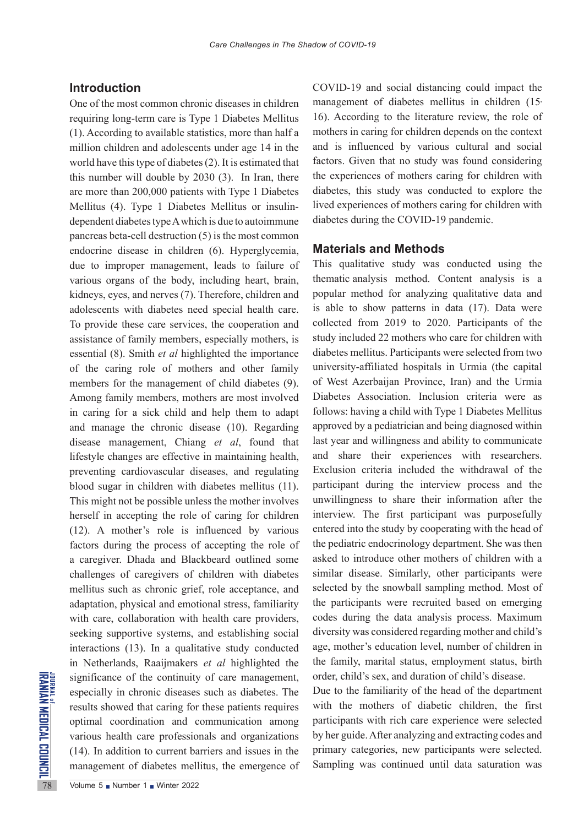## **Introduction**

Significance of the continuity<br>
significance of the continuity<br>
sepecially in chronic diseases<br>
results showed that caring for<br>
optimal coordination and c<br>
various health care professio<br>
(14). In addition to current ba<br>
ma One of the most common chronic diseases in children requiring long-term care is Type 1 Diabetes Mellitus (1). According to available statistics, more than half a million children and adolescents under age 14 in the world have this type of diabetes (2). It is estimated that this number will double by 2030 (3). In Iran, there are more than 200,000 patients with Type 1 Diabetes Mellitus (4). Type 1 Diabetes Mellitus or insulindependent diabetes type A which is due to autoimmune pancreas beta-cell destruction (5) is the most common endocrine disease in children (6). Hyperglycemia, due to improper management, leads to failure of various organs of the body, including heart, brain, kidneys, eyes, and nerves (7). Therefore, children and adolescents with diabetes need special health care. To provide these care services, the cooperation and assistance of family members, especially mothers, is essential (8). Smith *et al* highlighted the importance of the caring role of mothers and other family members for the management of child diabetes (9). Among family members, mothers are most involved in caring for a sick child and help them to adapt and manage the chronic disease (10). Regarding disease management, Chiang *et al*, found that lifestyle changes are effective in maintaining health, preventing cardiovascular diseases, and regulating blood sugar in children with diabetes mellitus (11). This might not be possible unless the mother involves herself in accepting the role of caring for children (12). A mother's role is influenced by various factors during the process of accepting the role of a caregiver. Dhada and Blackbeard outlined some challenges of caregivers of children with diabetes mellitus such as chronic grief, role acceptance, and adaptation, physical and emotional stress, familiarity with care, collaboration with health care providers, seeking supportive systems, and establishing social interactions (13). In a qualitative study conducted in Netherlands, Raaijmakers *et al* highlighted the significance of the continuity of care management, especially in chronic diseases such as diabetes. The results showed that caring for these patients requires optimal coordination and communication among various health care professionals and organizations (14). In addition to current barriers and issues in the management of diabetes mellitus, the emergence of

COVID-19 and social distancing could impact the management of diabetes mellitus in children (15, 16). According to the literature review, the role of mothers in caring for children depends on the context and is influenced by various cultural and social factors. Given that no study was found considering the experiences of mothers caring for children with diabetes, this study was conducted to explore the lived experiences of mothers caring for children with diabetes during the COVID-19 pandemic.

### **Materials and Methods**

This qualitative study was conducted using the thematic analysis method. Content analysis is a popular method for analyzing qualitative data and is able to show patterns in data (17). Data were collected from 2019 to 2020. Participants of the study included 22 mothers who care for children with diabetes mellitus. Participants were selected from two university-affiliated hospitals in Urmia (the capital of West Azerbaijan Province, Iran) and the Urmia Diabetes Association. Inclusion criteria were as follows: having a child with Type 1 Diabetes Mellitus approved by a pediatrician and being diagnosed within last year and willingness and ability to communicate and share their experiences with researchers. Exclusion criteria included the withdrawal of the participant during the interview process and the unwillingness to share their information after the interview. The first participant was purposefully entered into the study by cooperating with the head of the pediatric endocrinology department. She was then asked to introduce other mothers of children with a similar disease. Similarly, other participants were selected by the snowball sampling method. Most of the participants were recruited based on emerging codes during the data analysis process. Maximum diversity was considered regarding mother and child's age, mother's education level, number of children in the family, marital status, employment status, birth order, child's sex, and duration of child's disease.

Due to the familiarity of the head of the department with the mothers of diabetic children, the first participants with rich care experience were selected by her guide. After analyzing and extracting codes and primary categories, new participants were selected. Sampling was continued until data saturation was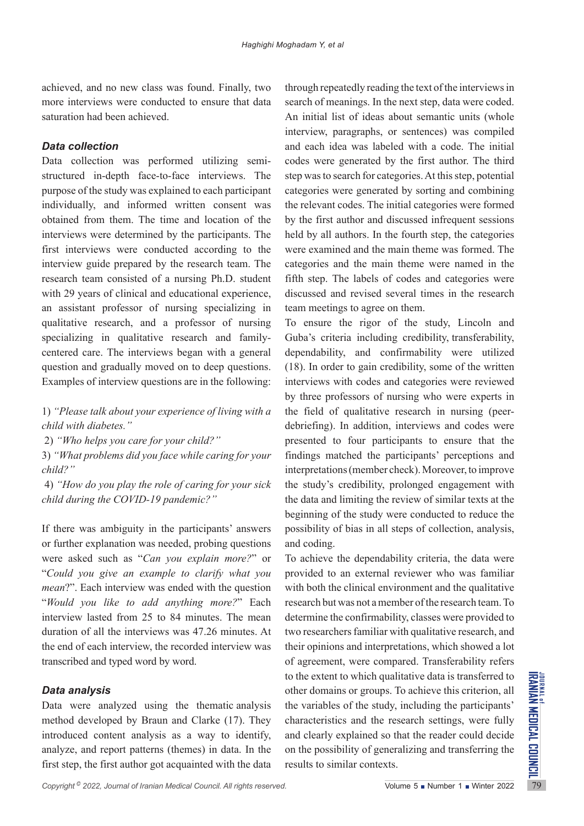achieved, and no new class was found. Finally, two more interviews were conducted to ensure that data saturation had been achieved.

### *Data collection*

Data collection was performed utilizing semistructured in-depth face-to-face interviews. The purpose of the study was explained to each participant individually, and informed written consent was obtained from them. The time and location of the interviews were determined by the participants. The first interviews were conducted according to the interview guide prepared by the research team. The research team consisted of a nursing Ph.D. student with 29 years of clinical and educational experience, an assistant professor of nursing specializing in qualitative research, and a professor of nursing specializing in qualitative research and familycentered care. The interviews began with a general question and gradually moved on to deep questions. Examples of interview questions are in the following:

1) *"Please talk about your experience of living with a child with diabetes."*

2) *"Who helps you care for your child?"*

3) *"What problems did you face while caring for your child?"*

 4) *"How do you play the role of caring for your sick child during the COVID-19 pandemic?"*

If there was ambiguity in the participants' answers or further explanation was needed, probing questions were asked such as "*Can you explain more?*" or "*Could you give an example to clarify what you mean*?". Each interview was ended with the question "*Would you like to add anything more?*" Each interview lasted from 25 to 84 minutes. The mean duration of all the interviews was 47.26 minutes. At the end of each interview, the recorded interview was transcribed and typed word by word.

### *Data analysis*

Data were analyzed using the thematic analysis method developed by Braun and Clarke (17). They introduced content analysis as a way to identify, analyze, and report patterns (themes) in data. In the first step, the first author got acquainted with the data

through repeatedly reading the text of the interviews in search of meanings. In the next step, data were coded. An initial list of ideas about semantic units (whole interview, paragraphs, or sentences) was compiled and each idea was labeled with a code. The initial codes were generated by the first author. The third step was to search for categories. At this step, potential categories were generated by sorting and combining the relevant codes. The initial categories were formed by the first author and discussed infrequent sessions held by all authors. In the fourth step, the categories were examined and the main theme was formed. The categories and the main theme were named in the fifth step. The labels of codes and categories were discussed and revised several times in the research team meetings to agree on them.

To ensure the rigor of the study, Lincoln and Guba's criteria including credibility, transferability, dependability, and confirmability were utilized (18). In order to gain credibility, some of the written interviews with codes and categories were reviewed by three professors of nursing who were experts in the field of qualitative research in nursing (peerdebriefing). In addition, interviews and codes were presented to four participants to ensure that the findings matched the participants' perceptions and interpretations (member check). Moreover, to improve the study's credibility, prolonged engagement with the data and limiting the review of similar texts at the beginning of the study were conducted to reduce the possibility of bias in all steps of collection, analysis, and coding.

**Copyright 2022, Journal of Iranian Medical Council. All rights reserved.** The same of Tranian School of the study, including the participants' method developed by Braun and Clarke (17). They characteristics and the resear To achieve the dependability criteria, the data were provided to an external reviewer who was familiar with both the clinical environment and the qualitative research but was not a member of the research team. To determine the confirmability, classes were provided to two researchers familiar with qualitative research, and their opinions and interpretations, which showed a lot of agreement, were compared. Transferability refers to the extent to which qualitative data is transferred to other domains or groups. To achieve this criterion, all the variables of the study, including the participants' characteristics and the research settings, were fully and clearly explained so that the reader could decide on the possibility of generalizing and transferring the results to similar contexts.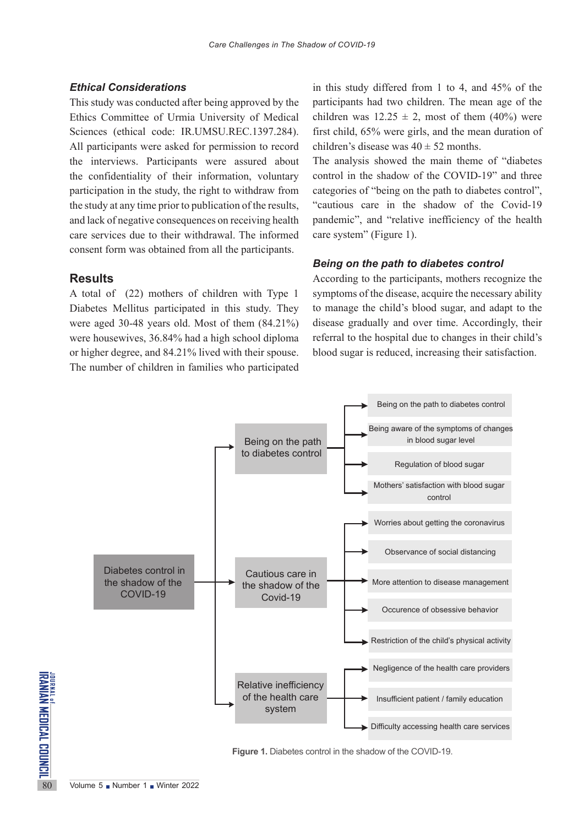### *Ethical Considerations*

This study was conducted after being approved by the Ethics Committee of Urmia University of Medical Sciences (ethical code: IR.UMSU.REC.1397.284). All participants were asked for permission to record the interviews. Participants were assured about the confidentiality of their information, voluntary participation in the study, the right to withdraw from the study at any time prior to publication of the results, and lack of negative consequences on receiving health care services due to their withdrawal. The informed consent form was obtained from all the participants.

### **Results**

A total of (22) mothers of children with Type 1 Diabetes Mellitus participated in this study. They were aged 30-48 years old. Most of them (84.21%) were housewives, 36.84% had a high school diploma or higher degree, and 84.21% lived with their spouse. The number of children in families who participated

in this study differed from 1 to 4, and 45% of the participants had two children. The mean age of the children was  $12.25 \pm 2$ , most of them (40%) were first child, 65% were girls, and the mean duration of children's disease was  $40 \pm 52$  months.

The analysis showed the main theme of "diabetes control in the shadow of the COVID-19" and three categories of "being on the path to diabetes control", "cautious care in the shadow of the Covid-19 pandemic", and "relative inefficiency of the health care system" (Figure 1).

#### *Being on the path to diabetes control*

According to the participants, mothers recognize the symptoms of the disease, acquire the necessary ability to manage the child's blood sugar, and adapt to the disease gradually and over time. Accordingly, their referral to the hospital due to changes in their child's blood sugar is reduced, increasing their satisfaction.



**Figure 1.** Diabetes control in the shadow of the COVID-19.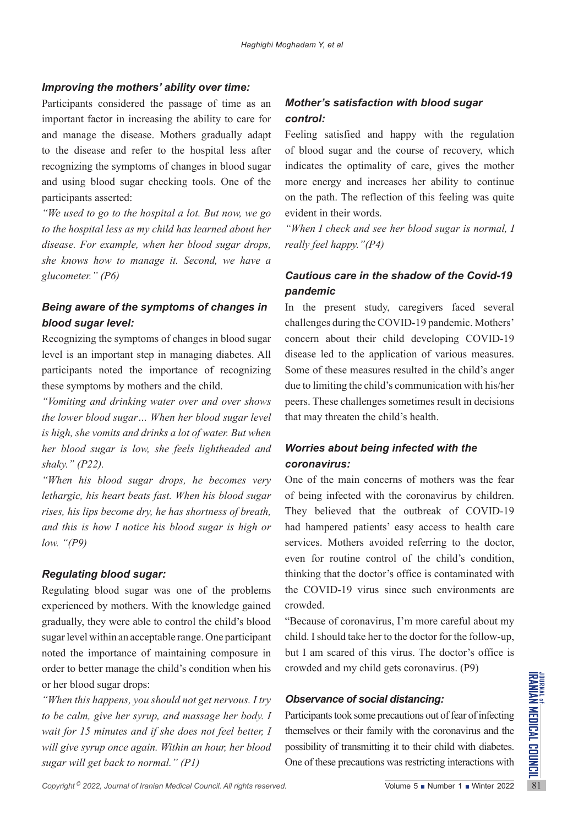### *Improving the mothers' ability over time:*

Participants considered the passage of time as an important factor in increasing the ability to care for and manage the disease. Mothers gradually adapt to the disease and refer to the hospital less after recognizing the symptoms of changes in blood sugar and using blood sugar checking tools. One of the participants asserted:

*"We used to go to the hospital a lot. But now, we go to the hospital less as my child has learned about her disease. For example, when her blood sugar drops, she knows how to manage it. Second, we have a glucometer." (P6)*

# *Being aware of the symptoms of changes in blood sugar level:*

Recognizing the symptoms of changes in blood sugar level is an important step in managing diabetes. All participants noted the importance of recognizing these symptoms by mothers and the child.

*"Vomiting and drinking water over and over shows the lower blood sugar… When her blood sugar level is high, she vomits and drinks a lot of water. But when her blood sugar is low, she feels lightheaded and shaky." (P22).*

*"When his blood sugar drops, he becomes very lethargic, his heart beats fast. When his blood sugar rises, his lips become dry, he has shortness of breath, and this is how I notice his blood sugar is high or low. "(P9)* 

# *Regulating blood sugar:*

Regulating blood sugar was one of the problems experienced by mothers. With the knowledge gained gradually, they were able to control the child's blood sugar level within an acceptable range. One participant noted the importance of maintaining composure in order to better manage the child's condition when his or her blood sugar drops:

or her blood sugar drops:<br> *Copyright in this happens, you should not get nervous. I try Cobservance of social distancing:*<br> *Copyright<sup>0</sup> <i>Copyright<sup>0</sup> 2022, Journal of Iranian Medical Council. All rights reserved.*<br> *"When this happens, you should not get nervous. I try to be calm, give her syrup, and massage her body. I wait for 15 minutes and if she does not feel better, I will give syrup once again. Within an hour, her blood sugar will get back to normal." (P1)*

# *Mother's satisfaction with blood sugar control:*

Feeling satisfied and happy with the regulation of blood sugar and the course of recovery, which indicates the optimality of care, gives the mother more energy and increases her ability to continue on the path. The reflection of this feeling was quite evident in their words.

*"When I check and see her blood sugar is normal, I really feel happy."(P4)*

# *Cautious care in the shadow of the Covid-19 pandemic*

In the present study, caregivers faced several challenges during the COVID-19 pandemic. Mothers' concern about their child developing COVID-19 disease led to the application of various measures. Some of these measures resulted in the child's anger due to limiting the child's communication with his/her peers. These challenges sometimes result in decisions that may threaten the child's health.

# *Worries about being infected with the coronavirus:*

One of the main concerns of mothers was the fear of being infected with the coronavirus by children. They believed that the outbreak of COVID-19 had hampered patients' easy access to health care services. Mothers avoided referring to the doctor, even for routine control of the child's condition, thinking that the doctor's office is contaminated with the COVID-19 virus since such environments are crowded.

"Because of coronavirus, I'm more careful about my child. I should take her to the doctor for the follow-up, but I am scared of this virus. The doctor's office is crowded and my child gets coronavirus. (P9)

# *Observance of social distancing:*

Participants took some precautions out of fear of infecting themselves or their family with the coronavirus and the possibility of transmitting it to their child with diabetes. One of these precautions was restricting interactions with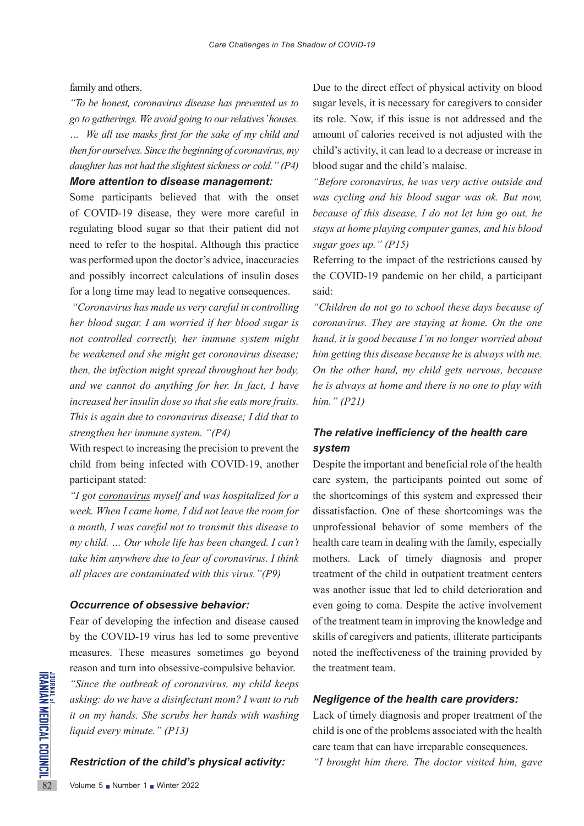family and others.

*"To be honest, coronavirus disease has prevented us to go to gatherings. We avoid going to our relatives' houses.*

*… We all use masks first for the sake of my child and then for ourselves. Since the beginning of coronavirus, my daughter has not had the slightest sickness or cold." (P4)*

### *More attention to disease management:*

Some participants believed that with the onset of COVID-19 disease, they were more careful in regulating blood sugar so that their patient did not need to refer to the hospital. Although this practice was performed upon the doctor's advice, inaccuracies and possibly incorrect calculations of insulin doses for a long time may lead to negative consequences.

*"Coronavirus has made us very careful in controlling her blood sugar. I am worried if her blood sugar is not controlled correctly, her immune system might be weakened and she might get coronavirus disease; then, the infection might spread throughout her body, and we cannot do anything for her. In fact, I have increased her insulin dose so that she eats more fruits. This is again due to coronavirus disease; I did that to strengthen her immune system. "(P4)*

With respect to increasing the precision to prevent the child from being infected with COVID-19, another participant stated:

*"I got coronavirus myself and was hospitalized for a week. When I came home, I did not leave the room for a month, I was careful not to transmit this disease to my child. … Our whole life has been changed. I can't take him anywhere due to fear of coronavirus. I think all places are contaminated with this virus."(P9)*

### *Occurrence of obsessive behavior:*

Example  $\overrightarrow{S}$  Winter the outbreak of coronal asking: do we have a disinfect<br>it on my hands. She scrubs he liquid every minute." (P13)<br>**Restriction of the child's**<br> $\overrightarrow{R}$ <br> $\overrightarrow{R}$ <br> $\overrightarrow{S}$ <br> $\overrightarrow{S}$  Number 1 Winter 202 Fear of developing the infection and disease caused by the COVID-19 virus has led to some preventive measures. These measures sometimes go beyond reason and turn into obsessive-compulsive behavior. *"Since the outbreak of coronavirus, my child keeps asking: do we have a disinfectant mom? I want to rub it on my hands. She scrubs her hands with washing liquid every minute." (P13)*

### *Restriction of the child's physical activity:*

Due to the direct effect of physical activity on blood sugar levels, it is necessary for caregivers to consider its role. Now, if this issue is not addressed and the amount of calories received is not adjusted with the child's activity, it can lead to a decrease or increase in blood sugar and the child's malaise.

*"Before coronavirus, he was very active outside and was cycling and his blood sugar was ok. But now, because of this disease, I do not let him go out, he stays at home playing computer games, and his blood sugar goes up." (P15)*

Referring to the impact of the restrictions caused by the COVID-19 pandemic on her child, a participant said:

*"Children do not go to school these days because of coronavirus. They are staying at home. On the one hand, it is good because I'm no longer worried about him getting this disease because he is always with me. On the other hand, my child gets nervous, because he is always at home and there is no one to play with him." (P21)*

# *The relative inefficiency of the health care system*

Despite the important and beneficial role of the health care system, the participants pointed out some of the shortcomings of this system and expressed their dissatisfaction. One of these shortcomings was the unprofessional behavior of some members of the health care team in dealing with the family, especially mothers. Lack of timely diagnosis and proper treatment of the child in outpatient treatment centers was another issue that led to child deterioration and even going to coma. Despite the active involvement of the treatment team in improving the knowledge and skills of caregivers and patients, illiterate participants noted the ineffectiveness of the training provided by the treatment team.

### *Negligence of the health care providers:*

Lack of timely diagnosis and proper treatment of the child is one of the problems associated with the health care team that can have irreparable consequences.

*"I brought him there. The doctor visited him, gave*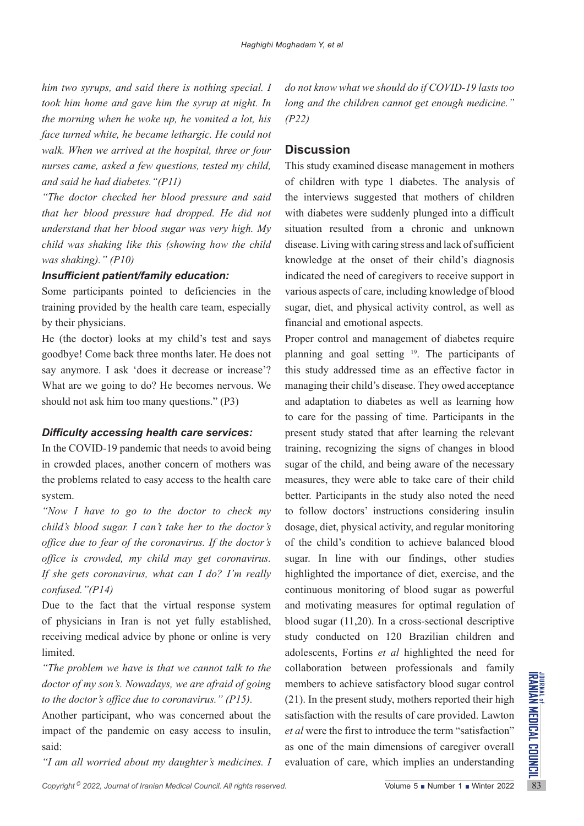*him two syrups, and said there is nothing special. I took him home and gave him the syrup at night. In the morning when he woke up, he vomited a lot, his face turned white, he became lethargic. He could not walk. When we arrived at the hospital, three or four nurses came, asked a few questions, tested my child, and said he had diabetes."(P11)*

*"The doctor checked her blood pressure and said that her blood pressure had dropped. He did not understand that her blood sugar was very high. My child was shaking like this (showing how the child was shaking)." (P10)*

### *Insufficient patient/family education:*

Some participants pointed to deficiencies in the training provided by the health care team, especially by their physicians.

He (the doctor) looks at my child's test and says goodbye! Come back three months later. He does not say anymore. I ask 'does it decrease or increase'? What are we going to do? He becomes nervous. We should not ask him too many questions." (P3)

### *Difficulty accessing health care services:*

In the COVID-19 pandemic that needs to avoid being in crowded places, another concern of mothers was the problems related to easy access to the health care system.

*"Now I have to go to the doctor to check my child's blood sugar. I can't take her to the doctor's office due to fear of the coronavirus. If the doctor's office is crowded, my child may get coronavirus. If she gets coronavirus, what can I do? I'm really confused."(P14)*

Due to the fact that the virtual response system of physicians in Iran is not yet fully established, receiving medical advice by phone or online is very limited.

*"The problem we have is that we cannot talk to the doctor of my son's. Nowadays, we are afraid of going to the doctor's office due to coronavirus." (P15).*

Another participant, who was concerned about the impact of the pandemic on easy access to insulin, said:

*"I am all worried about my daughter's medicines. I* 

*do not know what we should do if COVID-19 lasts too long and the children cannot get enough medicine." (P22)*

### **Discussion**

This study examined disease management in mothers of children with type 1 diabetes. The analysis of the interviews suggested that mothers of children with diabetes were suddenly plunged into a difficult situation resulted from a chronic and unknown disease. Living with caring stress and lack of sufficient knowledge at the onset of their child's diagnosis indicated the need of caregivers to receive support in various aspects of care, including knowledge of blood sugar, diet, and physical activity control, as well as financial and emotional aspects.

*Copyright* 2022, Journal of Iranian Medical Council. All rights reserved.<br> *Co* the doctor's office due to coronavirus." (P15). (21). In the present study, mothers reported their high<br>
Another participant, who was concer Proper control and management of diabetes require planning and goal setting 19. The participants of this study addressed time as an effective factor in managing their child's disease. They owed acceptance and adaptation to diabetes as well as learning how to care for the passing of time. Participants in the present study stated that after learning the relevant training, recognizing the signs of changes in blood sugar of the child, and being aware of the necessary measures, they were able to take care of their child better. Participants in the study also noted the need to follow doctors' instructions considering insulin dosage, diet, physical activity, and regular monitoring of the child's condition to achieve balanced blood sugar. In line with our findings, other studies highlighted the importance of diet, exercise, and the continuous monitoring of blood sugar as powerful and motivating measures for optimal regulation of blood sugar (11,20). In a cross-sectional descriptive study conducted on 120 Brazilian children and adolescents, Fortins *et al* highlighted the need for collaboration between professionals and family members to achieve satisfactory blood sugar control (21). In the present study, mothers reported their high satisfaction with the results of care provided. Lawton *et al* were the first to introduce the term "satisfaction" as one of the main dimensions of caregiver overall evaluation of care, which implies an understanding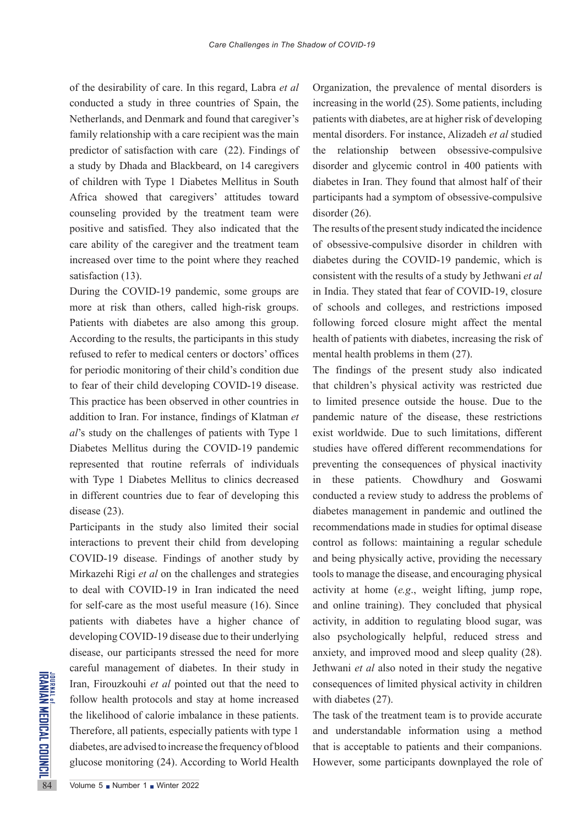of the desirability of care. In this regard, Labra *et al* conducted a study in three countries of Spain, the Netherlands, and Denmark and found that caregiver's family relationship with a care recipient was the main predictor of satisfaction with care (22). Findings of a study by Dhada and Blackbeard, on 14 caregivers of children with Type 1 Diabetes Mellitus in South Africa showed that caregivers' attitudes toward counseling provided by the treatment team were positive and satisfied. They also indicated that the care ability of the caregiver and the treatment team increased over time to the point where they reached satisfaction (13).

During the COVID-19 pandemic, some groups are more at risk than others, called high-risk groups. Patients with diabetes are also among this group. According to the results, the participants in this study refused to refer to medical centers or doctors' offices for periodic monitoring of their child's condition due to fear of their child developing COVID-19 disease. This practice has been observed in other countries in addition to Iran. For instance, findings of Klatman *et al*'s study on the challenges of patients with Type 1 Diabetes Mellitus during the COVID-19 pandemic represented that routine referrals of individuals with Type 1 Diabetes Mellitus to clinics decreased in different countries due to fear of developing this disease (23).

Frame Iran, Firouzkouhi *et al* pointer<br>
follow health protocols and s<br>
the likelihood of calorie imba<br>
Therefore, all patients, especia<br>
diabetes, are advised to increase<br>
glucose monitoring (24). Accord Participants in the study also limited their social interactions to prevent their child from developing COVID-19 disease. Findings of another study by Mirkazehi Rigi *et al* on the challenges and strategies to deal with COVID-19 in Iran indicated the need for self-care as the most useful measure (16). Since patients with diabetes have a higher chance of developing COVID-19 disease due to their underlying disease, our participants stressed the need for more careful management of diabetes. In their study in Iran, Firouzkouhi *et al* pointed out that the need to follow health protocols and stay at home increased the likelihood of calorie imbalance in these patients. Therefore, all patients, especially patients with type 1 diabetes, are advised to increase the frequency of blood glucose monitoring (24). According to World Health

Organization, the prevalence of mental disorders is increasing in the world (25). Some patients, including patients with diabetes, are at higher risk of developing mental disorders. For instance, Alizadeh *et al* studied the relationship between obsessive-compulsive disorder and glycemic control in 400 patients with diabetes in Iran. They found that almost half of their participants had a symptom of obsessive-compulsive disorder (26).

The results of the present study indicated the incidence of obsessive-compulsive disorder in children with diabetes during the COVID-19 pandemic, which is consistent with the results of a study by Jethwani *et al* in India. They stated that fear of COVID-19, closure of schools and colleges, and restrictions imposed following forced closure might affect the mental health of patients with diabetes, increasing the risk of mental health problems in them (27).

The findings of the present study also indicated that children's physical activity was restricted due to limited presence outside the house. Due to the pandemic nature of the disease, these restrictions exist worldwide. Due to such limitations, different studies have offered different recommendations for preventing the consequences of physical inactivity in these patients. Chowdhury and Goswami conducted a review study to address the problems of diabetes management in pandemic and outlined the recommendations made in studies for optimal disease control as follows: maintaining a regular schedule and being physically active, providing the necessary tools to manage the disease, and encouraging physical activity at home (*e.g*., weight lifting, jump rope, and online training). They concluded that physical activity, in addition to regulating blood sugar, was also psychologically helpful, reduced stress and anxiety, and improved mood and sleep quality (28). Jethwani *et al* also noted in their study the negative consequences of limited physical activity in children with diabetes (27).

The task of the treatment team is to provide accurate and understandable information using a method that is acceptable to patients and their companions. However, some participants downplayed the role of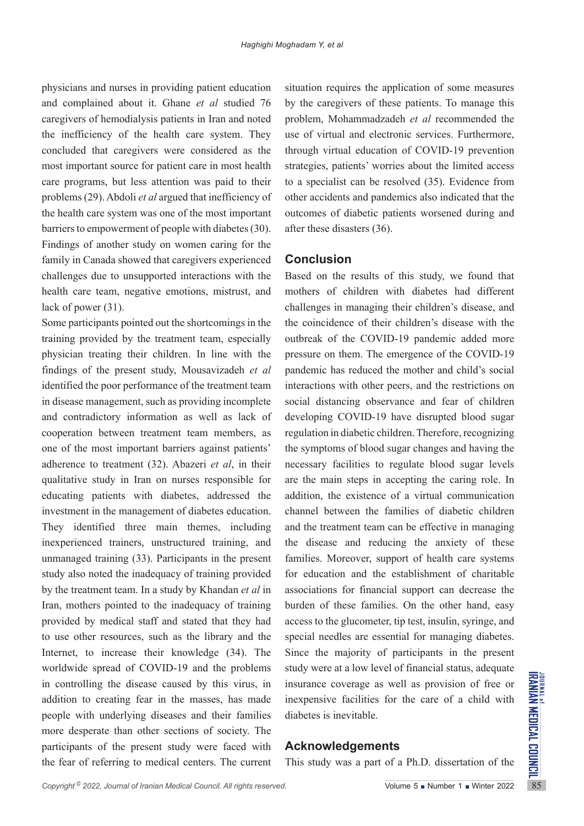physicians and nurses in providing patient education and complained about it. Ghane *et al* studied 76 caregivers of hemodialysis patients in Iran and noted the inefficiency of the health care system. They concluded that caregivers were considered as the most important source for patient care in most health care programs, but less attention was paid to their problems (29). Abdoli *et al* argued that inefficiency of the health care system was one of the most important barriers to empowerment of people with diabetes (30). Findings of another study on women caring for the family in Canada showed that caregivers experienced challenges due to unsupported interactions with the health care team, negative emotions, mistrust, and lack of power (31).

in controlling the disease caused by this virus, in insurance coverage as well as provision of free or<br>addition to creating fear in the masses, has made inexpensive facilities for the care of a child with<br>people with unde Some participants pointed out the shortcomings in the training provided by the treatment team, especially physician treating their children. In line with the findings of the present study, Mousavizadeh *et al*  identified the poor performance of the treatment team in disease management, such as providing incomplete and contradictory information as well as lack of cooperation between treatment team members, as one of the most important barriers against patients' adherence to treatment (32). Abazeri *et al*, in their qualitative study in Iran on nurses responsible for educating patients with diabetes, addressed the investment in the management of diabetes education. They identified three main themes, including inexperienced trainers, unstructured training, and unmanaged training (33). Participants in the present study also noted the inadequacy of training provided by the treatment team. In a study by Khandan *et al* in Iran, mothers pointed to the inadequacy of training provided by medical staff and stated that they had to use other resources, such as the library and the Internet, to increase their knowledge (34). The worldwide spread of COVID-19 and the problems in controlling the disease caused by this virus, in addition to creating fear in the masses, has made people with underlying diseases and their families more desperate than other sections of society. The participants of the present study were faced with the fear of referring to medical centers. The current

situation requires the application of some measures by the caregivers of these patients. To manage this problem, Mohammadzadeh *et al* recommended the use of virtual and electronic services. Furthermore, through virtual education of COVID-19 prevention strategies, patients' worries about the limited access to a specialist can be resolved (35). Evidence from other accidents and pandemics also indicated that the outcomes of diabetic patients worsened during and after these disasters (36).

## **Conclusion**

Based on the results of this study, we found that mothers of children with diabetes had different challenges in managing their children's disease, and the coincidence of their children's disease with the outbreak of the COVID-19 pandemic added more pressure on them. The emergence of the COVID-19 pandemic has reduced the mother and child's social interactions with other peers, and the restrictions on social distancing observance and fear of children developing COVID-19 have disrupted blood sugar regulation in diabetic children. Therefore, recognizing the symptoms of blood sugar changes and having the necessary facilities to regulate blood sugar levels are the main steps in accepting the caring role. In addition, the existence of a virtual communication channel between the families of diabetic children and the treatment team can be effective in managing the disease and reducing the anxiety of these families. Moreover, support of health care systems for education and the establishment of charitable associations for financial support can decrease the burden of these families. On the other hand, easy access to the glucometer, tip test, insulin, syringe, and special needles are essential for managing diabetes. Since the majority of participants in the present study were at a low level of financial status, adequate insurance coverage as well as provision of free or inexpensive facilities for the care of a child with diabetes is inevitable.

# **Acknowledgements**

This study was a part of a Ph.D. dissertation of the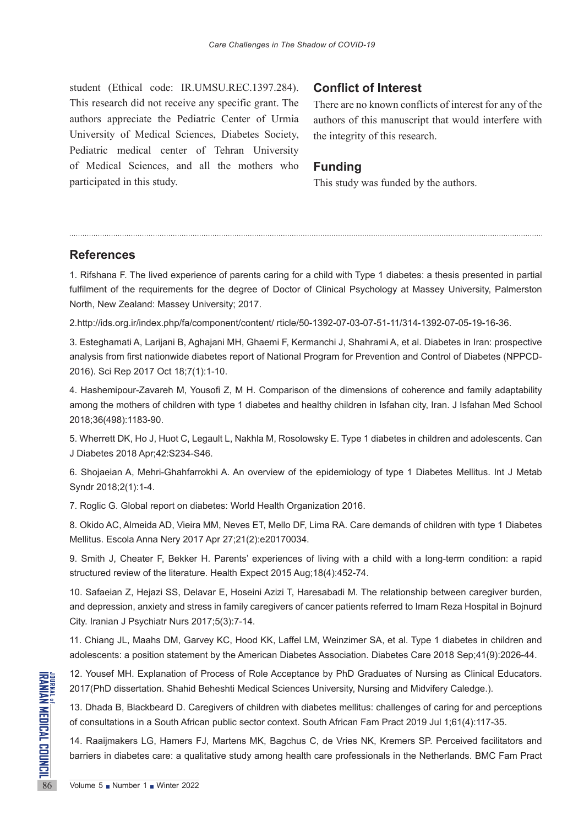student (Ethical code: IR.UMSU.REC.1397.284). This research did not receive any specific grant. The authors appreciate the Pediatric Center of Urmia University of Medical Sciences, Diabetes Society, Pediatric medical center of Tehran University of Medical Sciences, and all the mothers who participated in this study.

### **Conflict of Interest**

There are no known conflicts of interest for any of the authors of this manuscript that would interfere with the integrity of this research.

### **Funding**

This study was funded by the authors.

### **References**

1. Rifshana F. The lived experience of parents caring for a child with Type 1 diabetes: a thesis presented in partial fulfilment of the requirements for the degree of Doctor of Clinical Psychology at Massey University, Palmerston North, New Zealand: Massey University; 2017.

2.[http://ids.org.ir/index.php/fa/component/content/ rticle/50-1392-07-03-07-51-11/314-1392-07-05-19-16-36](http://ids.org.ir/index.php/fa/component/content/article/50-1392-07-03-07-51-11/314-1392-07-05-19-16-36).

3. Esteghamati A, Larijani B, Aghajani MH, Ghaemi F, Kermanchi J, Shahrami A, et al. Diabetes in Iran: prospective analysis from first nationwide diabetes report of National Program for Prevention and Control of Diabetes (NPPCD-2016). Sci Rep 2017 Oct 18;7(1):1-10.

4. Hashemipour-Zavareh M, Yousofi Z, M H. Comparison of the dimensions of coherence and family adaptability among the mothers of children with type 1 diabetes and healthy children in Isfahan city, Iran. J Isfahan Med School 2018;36(498):1183-90.

5. Wherrett DK, Ho J, Huot C, Legault L, Nakhla M, Rosolowsky E. Type 1 diabetes in children and adolescents. Can J Diabetes 2018 Apr;42:S234-S46.

6. Shojaeian A, Mehri-Ghahfarrokhi A. An overview of the epidemiology of type 1 Diabetes Mellitus. Int J Metab Syndr 2018;2(1):1-4.

7. Roglic G. Global report on diabetes: World Health Organization 2016.

8. Okido AC, Almeida AD, Vieira MM, Neves ET, Mello DF, Lima RA. Care demands of children with type 1 Diabetes Mellitus. Escola Anna Nery 2017 Apr 27;21(2):e20170034.

9. Smith J, Cheater F, Bekker H. Parents' experiences of living with a child with a long-term condition: a rapid structured review of the literature. Health Expect 2015 Aug;18(4):452-74.

10. Safaeian Z, Hejazi SS, Delavar E, Hoseini Azizi T, Haresabadi M. The relationship between caregiver burden, and depression, anxiety and stress in family caregivers of cancer patients referred to Imam Reza Hospital in Bojnurd City. Iranian J Psychiatr Nurs 2017;5(3):7-14.

11. Chiang JL, Maahs DM, Garvey KC, Hood KK, Laffel LM, Weinzimer SA, et al. Type 1 diabetes in children and adolescents: a position statement by the American Diabetes Association. Diabetes Care 2018 Sep;41(9):2026-44.

12. Yousef MH. Explanation of Process of Role Acceptance by PhD Graduates of Nursing as Clinical Educators. 2017(PhD dissertation. Shahid Beheshti Medical Sciences University, Nursing and Midvifery Caledge.).

**EXAMPLE 12. Youset MH. Explanation of**<br>2017(PhD dissertation. Shahid I<br>13. Dhada B, Blackbeard D. Ca<br>of consultations in a South Afric<br>14. Raaijmakers LG, Hamers F<br>barriers in diabetes care: a qua<br>Nolume 5 Number 1 Ninter 13. Dhada B, Blackbeard D. Caregivers of children with diabetes mellitus: challenges of caring for and perceptions of consultations in a South African public sector context. South African Fam Pract 2019 Jul 1;61(4):117-35.

14. Raaijmakers LG, Hamers FJ, Martens MK, Bagchus C, de Vries NK, Kremers SP. Perceived facilitators and barriers in diabetes care: a qualitative study among health care professionals in the Netherlands. BMC Fam Pract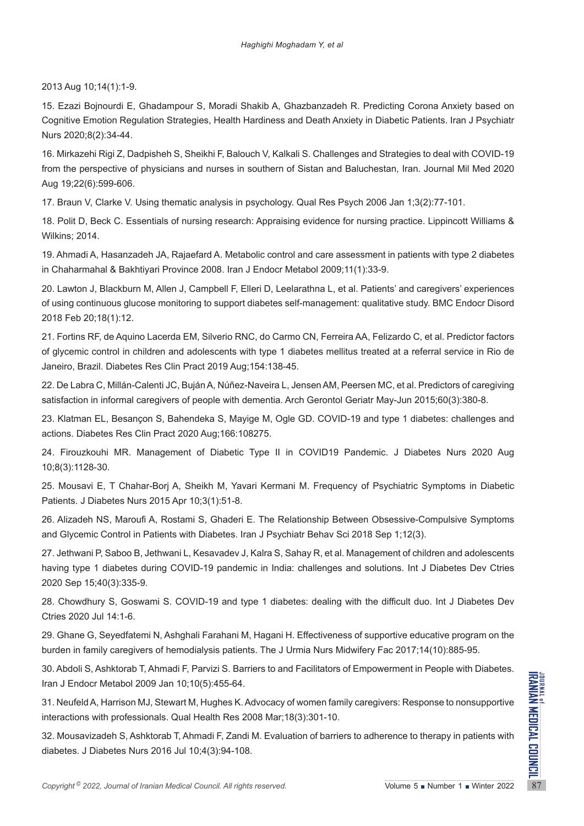2013 Aug 10;14(1):1-9.

15. Ezazi Bojnourdi E, Ghadampour S, Moradi Shakib A, Ghazbanzadeh R. Predicting Corona Anxiety based on Cognitive Emotion Regulation Strategies, Health Hardiness and Death Anxiety in Diabetic Patients. Iran J Psychiatr Nurs 2020;8(2):34-44.

16. Mirkazehi Rigi Z, Dadpisheh S, Sheikhi F, Balouch V, Kalkali S. Challenges and Strategies to deal with COVID-19 from the perspective of physicians and nurses in southern of Sistan and Baluchestan, Iran. Journal Mil Med 2020 Aug 19;22(6):599-606.

17. Braun V, Clarke V. Using thematic analysis in psychology. Qual Res Psych 2006 Jan 1;3(2):77-101.

18. Polit D, Beck C. Essentials of nursing research: Appraising evidence for nursing practice. Lippincott Williams & Wilkins; 2014.

19. Ahmadi A, Hasanzadeh JA, Rajaefard A. Metabolic control and care assessment in patients with type 2 diabetes in Chaharmahal & Bakhtiyari Province 2008. Iran J Endocr Metabol 2009;11(1):33-9.

20. Lawton J, Blackburn M, Allen J, Campbell F, Elleri D, Leelarathna L, et al. Patients' and caregivers' experiences of using continuous glucose monitoring to support diabetes self-management: qualitative study. BMC Endocr Disord 2018 Feb 20;18(1):12.

21. Fortins RF, de Aquino Lacerda EM, Silverio RNC, do Carmo CN, Ferreira AA, Felizardo C, et al. Predictor factors of glycemic control in children and adolescents with type 1 diabetes mellitus treated at a referral service in Rio de Janeiro, Brazil. Diabetes Res Clin Pract 2019 Aug;154:138-45.

22. De Labra C, Millán-Calenti JC, Buján A, Núñez-Naveira L, Jensen AM, Peersen MC, et al. Predictors of caregiving satisfaction in informal caregivers of people with dementia. Arch Gerontol Geriatr May-Jun 2015;60(3):380-8.

23. Klatman EL, Besançon S, Bahendeka S, Mayige M, Ogle GD. COVID-19 and type 1 diabetes: challenges and actions. Diabetes Res Clin Pract 2020 Aug;166:108275.

24. Firouzkouhi MR. Management of Diabetic Type II in COVID19 Pandemic. J Diabetes Nurs 2020 Aug 10;8(3):1128-30.

25. Mousavi E, T Chahar-Borj A, Sheikh M, Yavari Kermani M. Frequency of Psychiatric Symptoms in Diabetic Patients. J Diabetes Nurs 2015 Apr 10;3(1):51-8.

26. Alizadeh NS, Maroufi A, Rostami S, Ghaderi E. The Relationship Between Obsessive-Compulsive Symptoms and Glycemic Control in Patients with Diabetes. Iran J Psychiatr Behav Sci 2018 Sep 1;12(3).

27. Jethwani P, Saboo B, Jethwani L, Kesavadev J, Kalra S, Sahay R, et al. Management of children and adolescents having type 1 diabetes during COVID-19 pandemic in India: challenges and solutions. Int J Diabetes Dev Ctries 2020 Sep 15;40(3):335-9.

28. Chowdhury S, Goswami S. COVID-19 and type 1 diabetes: dealing with the difficult duo. Int J Diabetes Dev Ctries 2020 Jul 14:1-6.

29. Ghane G, Seyedfatemi N, Ashghali Farahani M, Hagani H. Effectiveness of supportive educative program on the burden in family caregivers of hemodialysis patients. The J Urmia Nurs Midwifery Fac 2017;14(10):885-95.

30. Abdoli S, Ashktorab T, Ahmadi F, Parvizi S. Barriers to and Facilitators of Empowerment in People with Diabetes. Iran J Endocr Metabol 2009 Jan 10;10(5):455-64.

31. Neufeld A, Harrison MJ, Stewart M, Hughes K. Advocacy of women family caregivers: Response to nonsupportive interactions with professionals. Qual Health Res 2008 Mar;18(3):301-10.

*Copyright* <sup>0</sup> 2022, *Journal of Iranian Medical Council. All rights reserved.<br>
Copyright<sup>®</sup> 2022, <i>Journal of Iranian Medical Council. All rights reserved.*<br>
2022, *Journal of Iranian Medical Council. All rights reserved* 32. Mousavizadeh S, Ashktorab T, Ahmadi F, Zandi M. Evaluation of barriers to adherence to therapy in patients with diabetes. J Diabetes Nurs 2016 Jul 10;4(3):94-108.